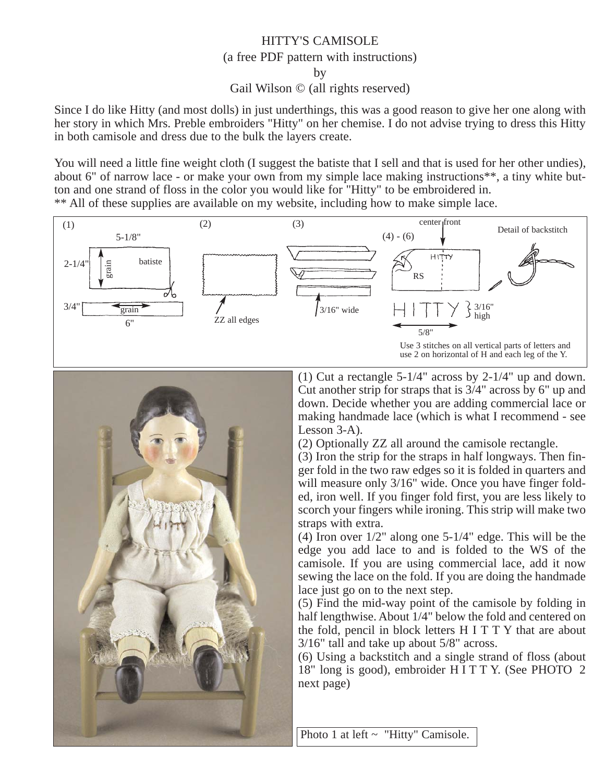## HITTY'S CAMISOLE (a free PDF pattern with instructions) by Gail Wilson © (all rights reserved)

Since I do like Hitty (and most dolls) in just underthings, this was a good reason to give her one along with her story in which Mrs. Preble embroiders "Hitty" on her chemise. I do not advise trying to dress this Hitty in both camisole and dress due to the bulk the layers create.

You will need a little fine weight cloth (I suggest the batiste that I sell and that is used for her other undies), about 6" of narrow lace - or make your own from my simple lace making instructions\*\*, a tiny white button and one strand of floss in the color you would like for "Hitty" to be embroidered in. \*\* All of these supplies are available on my website, including how to make simple lace.





(1) Cut a rectangle 5-1/4" across by 2-1/4" up and down. Cut another strip for straps that is 3/4" across by 6" up and down. Decide whether you are adding commercial lace or making handmade lace (which is what I recommend - see Lesson 3-A).

(2) Optionally ZZ all around the camisole rectangle.

(3) Iron the strip for the straps in half longways. Then finger fold in the two raw edges so it is folded in quarters and will measure only  $3/16$ " wide. Once you have finger folded, iron well. If you finger fold first, you are less likely to scorch your fingers while ironing. This strip will make two straps with extra.

(4) Iron over 1/2" along one 5-1/4" edge. This will be the edge you add lace to and is folded to the WS of the camisole. If you are using commercial lace, add it now sewing the lace on the fold. If you are doing the handmade lace just go on to the next step.

(5) Find the mid-way point of the camisole by folding in half lengthwise. About 1/4" below the fold and centered on the fold, pencil in block letters H I T T Y that are about 3/16" tall and take up about 5/8" across.

(6) Using a backstitch and a single strand of floss (about 18" long is good), embroider H I T T Y. (See PHOTO 2 next page)

Photo 1 at left ~ "Hitty" Camisole.